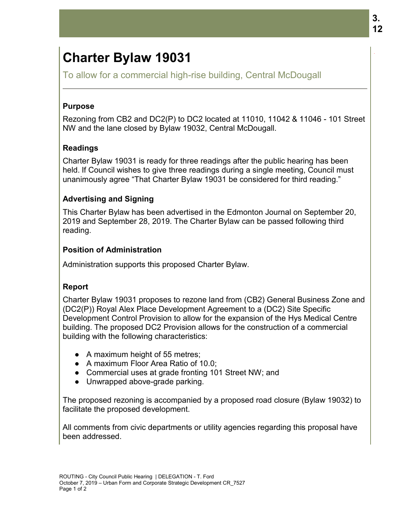# **Charter Bylaw 19031 Bylaw**

To allow for a commercial high-rise building, Central McDougall

## **Purpose**

Rezoning from CB2 and DC2(P) to DC2 located at 11010, 11042 & 11046 - 101 Street NW and the lane closed by Bylaw 19032, Central McDougall.

### **Readings**

Charter Bylaw 19031 is ready for three readings after the public hearing has been Rezoning from CB2 and DC2(P) to DC2 located at 11010, 11042 & 11046 - 101 Stre<br>NW and the lane closed by Bylaw 19032, Central McDougall.<br>Readings<br>Charter Bylaw 19031 is ready for three readings after the public hearing has unanimously agree "That Charter Bylaw 19031 be considered for third reading." 19031

### **Advertising and Signing and**

This Charter Bylaw has been advertised in the Edmonton Journal on September 20, This Charter Bylaw has been advertised in the Edmonton Journal on September :<br>2019 and September 28, 2019. The Charter Bylaw can be passed following third reading.

### **Position of Administration**

Administration supports this proposed Charter Bylaw.

#### **Report**

Charter Bylaw 19031 proposes to rezone land from (CB2) General Business Zone and (DC2(P)) Royal Alex Place Development Agreement to a (DC2) Site Specific Development Control Provision to allow for the expansion of the Hys Medical Centre Administration supports this proposed Charter Bylaw.<br> **Report**<br>
Charter Bylaw 19031 proposes to rezone land from (CB2) General Business Zone<br>
(DC2(P)) Royal Alex Place Development Agreement to a (DC2) Site Specific<br>
Develo building with the following characteristics: **Example 19 and Comment School School Comments and COMM**<br> **Example 19032** and DC2(P) to DC2 located at 11010, 11042 & 11046 - 101 Street<br>
and the lane closed by Bylaw 19032, Central McDougall.<br>
Let Creating School 19031 is **Law 19031**<br> **Example 18**<br> **Example 2014**<br> **Example 19**<br> **Example 19**<br> **Example 19**<br> **Example 19**<br> **Example 19**<br> **Example 19**<br> **Example 19**<br> **Example 19**<br> **Example 19**<br> **Example 19**<br> **Example 19**<br> **Example 19**<br> **Example 19** 

- A maximum height of 55 metres;
- A maximum Floor Area Ratio of 10.0;
- Commercial uses at grade fronting 101 Street NW; and g with the following characteristics:<br>A maximum height of 55 metres;<br>A maximum Floor Area Ratio of 10.0;<br>Commercial uses at grade fronting 101 Street NW;<br>Unwrapped above-grade parking.
- Unwrapped above-grade parking.

The proposed rezoning is accompanied by a proposed road closure (Bylaw 19032) to facilitate the proposed development.

All comments from civic departments or utility agencies regarding this proposal have been addressed.